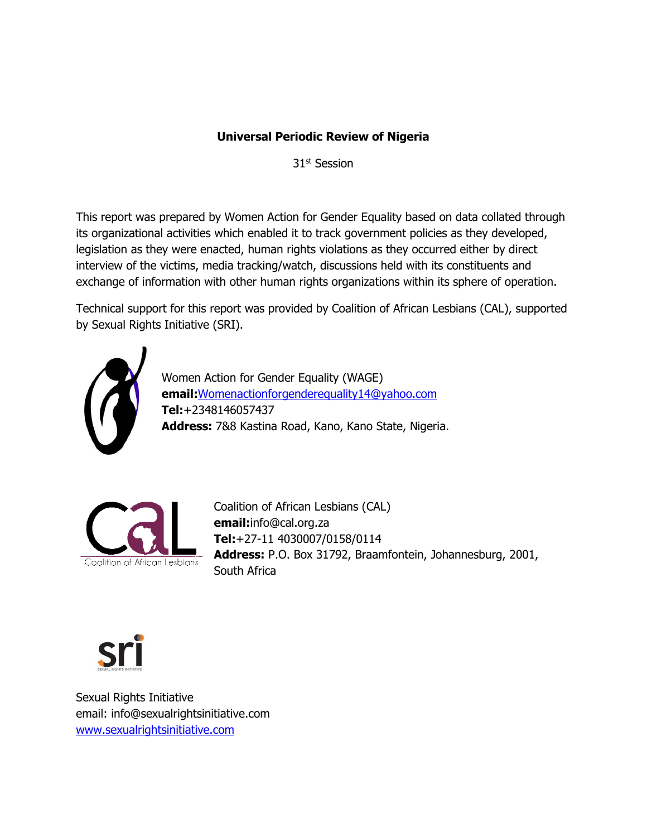### **Universal Periodic Review of Nigeria**

31<sup>st</sup> Session

This report was prepared by Women Action for Gender Equality based on data collated through its organizational activities which enabled it to track government policies as they developed, legislation as they were enacted, human rights violations as they occurred either by direct interview of the victims, media tracking/watch, discussions held with its constituents and exchange of information with other human rights organizations within its sphere of operation.

Technical support for this report was provided by Coalition of African Lesbians (CAL), supported by Sexual Rights Initiative (SRI).



Women Action for Gender Equality (WAGE) **email:**[Womenactionforgenderequality14@yahoo.com](mailto:Womenactionforgenderequality14@yahoo.com) **Tel:**+2348146057437 **Address:** 7&8 Kastina Road, Kano, Kano State, Nigeria.



Coalition of African Lesbians (CAL) **email:**info@cal.org.za **Tel:**+27-11 4030007/0158/0114 **Address:** P.O. Box 31792, Braamfontein, Johannesburg, 2001, South Africa



Sexual Rights Initiative email: info@sexualrightsinitiative.com [www.sexualrightsinitiative.com](http://www.sexualrightsinitiative.com/)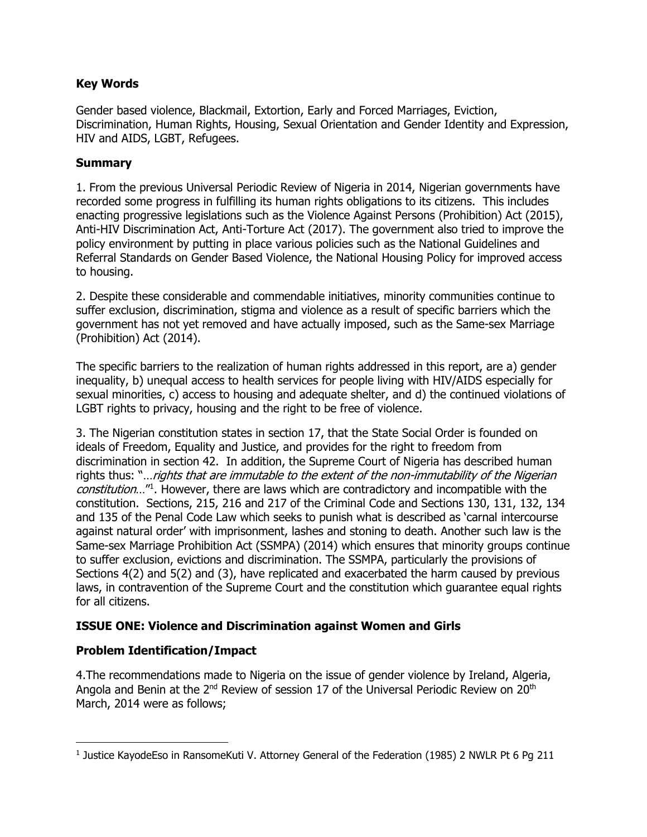#### **Key Words**

Gender based violence, Blackmail, Extortion, Early and Forced Marriages, Eviction, Discrimination, Human Rights, Housing, Sexual Orientation and Gender Identity and Expression, HIV and AIDS, LGBT, Refugees.

#### **Summary**

1. From the previous Universal Periodic Review of Nigeria in 2014, Nigerian governments have recorded some progress in fulfilling its human rights obligations to its citizens. This includes enacting progressive legislations such as the Violence Against Persons (Prohibition) Act (2015), Anti-HIV Discrimination Act, Anti-Torture Act (2017). The government also tried to improve the policy environment by putting in place various policies such as the National Guidelines and Referral Standards on Gender Based Violence, the National Housing Policy for improved access to housing.

2. Despite these considerable and commendable initiatives, minority communities continue to suffer exclusion, discrimination, stigma and violence as a result of specific barriers which the government has not yet removed and have actually imposed, such as the Same-sex Marriage (Prohibition) Act (2014).

The specific barriers to the realization of human rights addressed in this report, are a) gender inequality, b) unequal access to health services for people living with HIV/AIDS especially for sexual minorities, c) access to housing and adequate shelter, and d) the continued violations of LGBT rights to privacy, housing and the right to be free of violence.

3. The Nigerian constitution states in section 17, that the State Social Order is founded on ideals of Freedom, Equality and Justice, and provides for the right to freedom from discrimination in section 42. In addition, the Supreme Court of Nigeria has described human rights thus: "... rights that are immutable to the extent of the non-immutability of the Nigerian constitution...<sup>"1</sup>. However, there are laws which are contradictory and incompatible with the constitution. Sections, 215, 216 and 217 of the Criminal Code and Sections 130, 131, 132, 134 and 135 of the Penal Code Law which seeks to punish what is described as 'carnal intercourse against natural order' with imprisonment, lashes and stoning to death. Another such law is the Same-sex Marriage Prohibition Act (SSMPA) (2014) which ensures that minority groups continue to suffer exclusion, evictions and discrimination. The SSMPA, particularly the provisions of Sections 4(2) and 5(2) and (3), have replicated and exacerbated the harm caused by previous laws, in contravention of the Supreme Court and the constitution which guarantee equal rights for all citizens.

#### **ISSUE ONE: Violence and Discrimination against Women and Girls**

#### **Problem Identification/Impact**

4.The recommendations made to Nigeria on the issue of gender violence by Ireland, Algeria, Angola and Benin at the  $2^{nd}$  Review of session 17 of the Universal Periodic Review on  $20^{th}$ March, 2014 were as follows;

l 1 Justice KayodeEso in RansomeKuti V. Attorney General of the Federation (1985) 2 NWLR Pt 6 Pg 211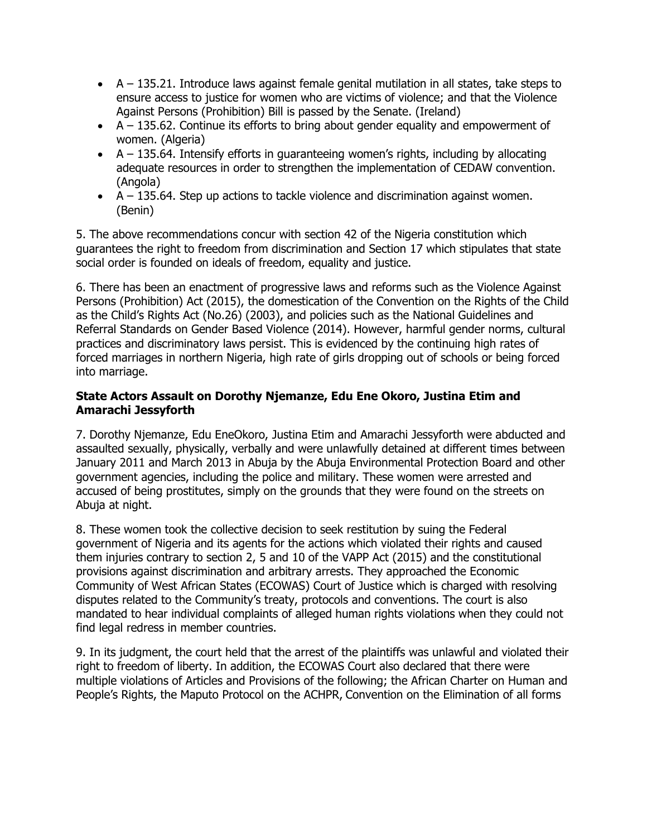- A 135.21. Introduce laws against female genital mutilation in all states, take steps to ensure access to justice for women who are victims of violence; and that the Violence Against Persons (Prohibition) Bill is passed by the Senate. (Ireland)
- A 135.62. Continue its efforts to bring about gender equality and empowerment of women. (Algeria)
- A 135.64. Intensify efforts in guaranteeing women's rights, including by allocating adequate resources in order to strengthen the implementation of CEDAW convention. (Angola)
- $\bullet$   $A 135.64$ . Step up actions to tackle violence and discrimination against women. (Benin)

5. The above recommendations concur with section 42 of the Nigeria constitution which guarantees the right to freedom from discrimination and Section 17 which stipulates that state social order is founded on ideals of freedom, equality and justice.

6. There has been an enactment of progressive laws and reforms such as the Violence Against Persons (Prohibition) Act (2015), the domestication of the Convention on the Rights of the Child as the Child's Rights Act (No.26) (2003), and policies such as the National Guidelines and Referral Standards on Gender Based Violence (2014). However, harmful gender norms, cultural practices and discriminatory laws persist. This is evidenced by the continuing high rates of forced marriages in northern Nigeria, high rate of girls dropping out of schools or being forced into marriage.

#### **State Actors Assault on Dorothy Njemanze, Edu Ene Okoro, Justina Etim and Amarachi Jessyforth**

7. Dorothy Njemanze, Edu EneOkoro, Justina Etim and Amarachi Jessyforth were abducted and assaulted sexually, physically, verbally and were unlawfully detained at different times between January 2011 and March 2013 in Abuja by the Abuja Environmental Protection Board and other government agencies, including the police and military. These women were arrested and accused of being prostitutes, simply on the grounds that they were found on the streets on Abuja at night.

8. These women took the collective decision to seek restitution by suing the Federal government of Nigeria and its agents for the actions which violated their rights and caused them injuries contrary to section 2, 5 and 10 of the VAPP Act (2015) and the constitutional provisions against discrimination and arbitrary arrests. They approached the Economic Community of West African States (ECOWAS) Court of Justice which is charged with resolving disputes related to the Community's treaty, protocols and conventions. The court is also mandated to hear individual complaints of alleged human rights violations when they could not find legal redress in member countries.

9. In its judgment, the court held that the arrest of the plaintiffs was unlawful and violated their right to freedom of liberty. In addition, the ECOWAS Court also declared that there were multiple violations of Articles and Provisions of the following; the African Charter on Human and People's Rights, the Maputo Protocol on the ACHPR, Convention on the Elimination of all forms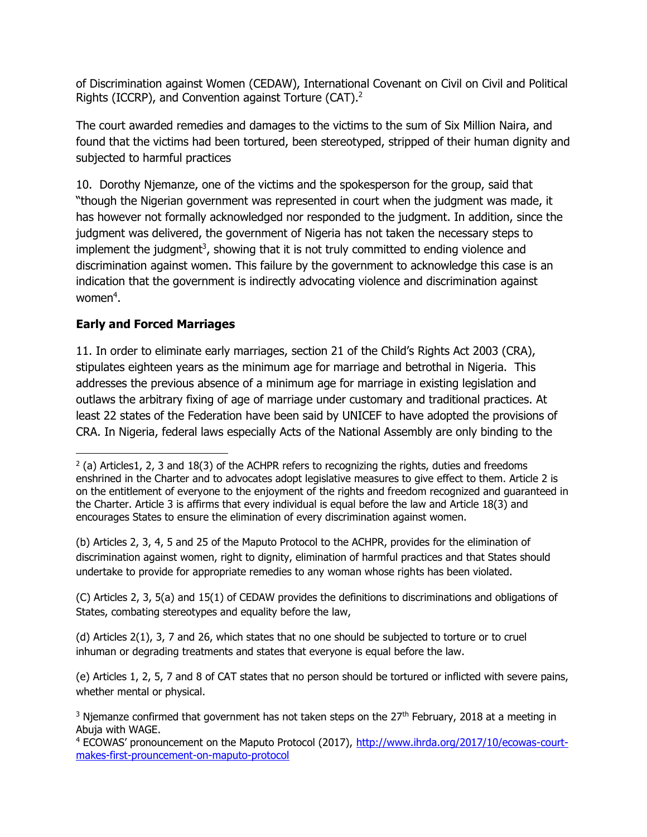of Discrimination against Women (CEDAW), International Covenant on Civil on Civil and Political Rights (ICCRP), and Convention against Torture (CAT). $2$ 

The court awarded remedies and damages to the victims to the sum of Six Million Naira, and found that the victims had been tortured, been stereotyped, stripped of their human dignity and subjected to harmful practices

10. Dorothy Njemanze, one of the victims and the spokesperson for the group, said that "though the Nigerian government was represented in court when the judgment was made, it has however not formally acknowledged nor responded to the judgment. In addition, since the judgment was delivered, the government of Nigeria has not taken the necessary steps to implement the judgment<sup>3</sup>, showing that it is not truly committed to ending violence and discrimination against women. This failure by the government to acknowledge this case is an indication that the government is indirectly advocating violence and discrimination against women $4$ .

## **Early and Forced Marriages**

 $\overline{\phantom{a}}$ 

11. In order to eliminate early marriages, section 21 of the Child's Rights Act 2003 (CRA), stipulates eighteen years as the minimum age for marriage and betrothal in Nigeria. This addresses the previous absence of a minimum age for marriage in existing legislation and outlaws the arbitrary fixing of age of marriage under customary and traditional practices. At least 22 states of the Federation have been said by UNICEF to have adopted the provisions of CRA. In Nigeria, federal laws especially Acts of the National Assembly are only binding to the

(b) Articles 2, 3, 4, 5 and 25 of the Maputo Protocol to the ACHPR, provides for the elimination of discrimination against women, right to dignity, elimination of harmful practices and that States should undertake to provide for appropriate remedies to any woman whose rights has been violated.

(C) Articles 2, 3, 5(a) and 15(1) of CEDAW provides the definitions to discriminations and obligations of States, combating stereotypes and equality before the law,

(d) Articles 2(1), 3, 7 and 26, which states that no one should be subjected to torture or to cruel inhuman or degrading treatments and states that everyone is equal before the law.

(e) Articles 1, 2, 5, 7 and 8 of CAT states that no person should be tortured or inflicted with severe pains, whether mental or physical.

 $^2$  (a) Articles1, 2, 3 and 18(3) of the ACHPR refers to recognizing the rights, duties and freedoms enshrined in the Charter and to advocates adopt legislative measures to give effect to them. Article 2 is on the entitlement of everyone to the enjoyment of the rights and freedom recognized and guaranteed in the Charter. Article 3 is affirms that every individual is equal before the law and Article 18(3) and encourages States to ensure the elimination of every discrimination against women.

 $3$  Njemanze confirmed that government has not taken steps on the 27<sup>th</sup> February, 2018 at a meeting in Abuja with WAGE.

<sup>4</sup> ECOWAS' pronouncement on the Maputo Protocol (2017), [http://www.ihrda.org/2017/10/ecowas-court](http://www.ihrda.org/2017/10/ecowas-court-makes-first-prouncement-on-maputo-protocol)[makes-first-prouncement-on-maputo-protocol](http://www.ihrda.org/2017/10/ecowas-court-makes-first-prouncement-on-maputo-protocol)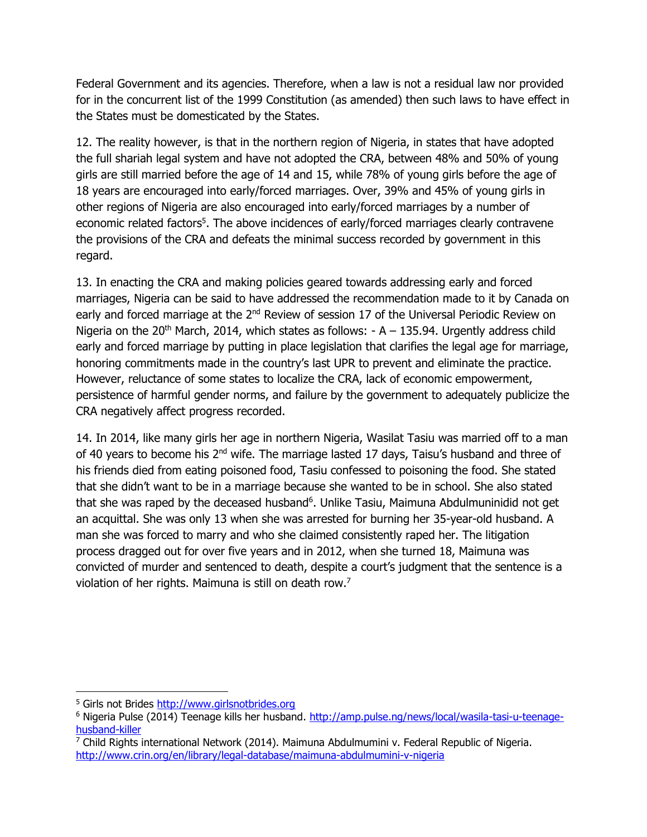Federal Government and its agencies. Therefore, when a law is not a residual law nor provided for in the concurrent list of the 1999 Constitution (as amended) then such laws to have effect in the States must be domesticated by the States.

12. The reality however, is that in the northern region of Nigeria, in states that have adopted the full shariah legal system and have not adopted the CRA, between 48% and 50% of young girls are still married before the age of 14 and 15, while 78% of young girls before the age of 18 years are encouraged into early/forced marriages. Over, 39% and 45% of young girls in other regions of Nigeria are also encouraged into early/forced marriages by a number of economic related factors<sup>5</sup>. The above incidences of early/forced marriages clearly contravene the provisions of the CRA and defeats the minimal success recorded by government in this regard.

13. In enacting the CRA and making policies geared towards addressing early and forced marriages, Nigeria can be said to have addressed the recommendation made to it by Canada on early and forced marriage at the 2<sup>nd</sup> Review of session 17 of the Universal Periodic Review on Nigeria on the 20<sup>th</sup> March, 2014, which states as follows:  $- A - 135.94$ . Urgently address child early and forced marriage by putting in place legislation that clarifies the legal age for marriage, honoring commitments made in the country's last UPR to prevent and eliminate the practice. However, reluctance of some states to localize the CRA, lack of economic empowerment, persistence of harmful gender norms, and failure by the government to adequately publicize the CRA negatively affect progress recorded.

14. In 2014, like many girls her age in northern Nigeria, Wasilat Tasiu was married off to a man of 40 years to become his  $2^{nd}$  wife. The marriage lasted 17 days, Taisu's husband and three of his friends died from eating poisoned food, Tasiu confessed to poisoning the food. She stated that she didn't want to be in a marriage because she wanted to be in school. She also stated that she was raped by the deceased husband<sup>6</sup>. Unlike Tasiu, Maimuna Abdulmuninidid not get an acquittal. She was only 13 when she was arrested for burning her 35-year-old husband. A man she was forced to marry and who she claimed consistently raped her. The litigation process dragged out for over five years and in 2012, when she turned 18, Maimuna was convicted of murder and sentenced to death, despite a court's judgment that the sentence is a violation of her rights. Maimuna is still on death row.<sup>7</sup>

 $\overline{\phantom{a}}$ <sup>5</sup> Girls not Brides [http://www.girlsnotbrides.org](http://www.girlsnotbrides.org/)

<sup>6</sup> Nigeria Pulse (2014) Teenage kills her husband. [http://amp.pulse.ng/news/local/wasila-tasi-u-teenage](http://amp.pulse.ng/news/local/wasila-tasi-u-teenage-husband-killer)[husband-killer](http://amp.pulse.ng/news/local/wasila-tasi-u-teenage-husband-killer)

 $7$  Child Rights international Network (2014). Maimuna Abdulmumini v. Federal Republic of Nigeria. <http://www.crin.org/en/library/legal-database/maimuna-abdulmumini-v-nigeria>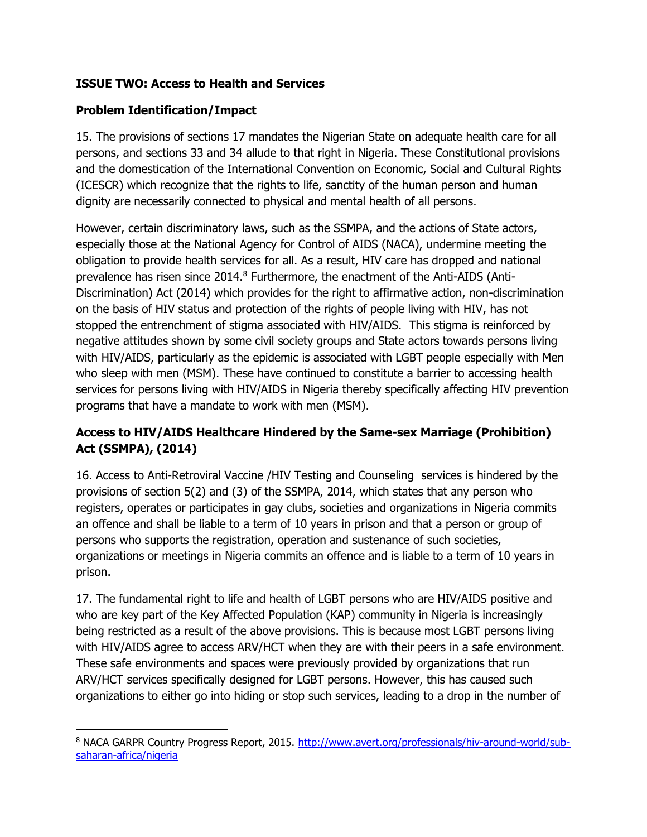### **ISSUE TWO: Access to Health and Services**

#### **Problem Identification/Impact**

15. The provisions of sections 17 mandates the Nigerian State on adequate health care for all persons, and sections 33 and 34 allude to that right in Nigeria. These Constitutional provisions and the domestication of the International Convention on Economic, Social and Cultural Rights (ICESCR) which recognize that the rights to life, sanctity of the human person and human dignity are necessarily connected to physical and mental health of all persons.

However, certain discriminatory laws, such as the SSMPA, and the actions of State actors, especially those at the National Agency for Control of AIDS (NACA), undermine meeting the obligation to provide health services for all. As a result, HIV care has dropped and national prevalence has risen since 2014.<sup>8</sup> Furthermore, the enactment of the Anti-AIDS (Anti-Discrimination) Act (2014) which provides for the right to affirmative action, non-discrimination on the basis of HIV status and protection of the rights of people living with HIV, has not stopped the entrenchment of stigma associated with HIV/AIDS. This stigma is reinforced by negative attitudes shown by some civil society groups and State actors towards persons living with HIV/AIDS, particularly as the epidemic is associated with LGBT people especially with Men who sleep with men (MSM). These have continued to constitute a barrier to accessing health services for persons living with HIV/AIDS in Nigeria thereby specifically affecting HIV prevention programs that have a mandate to work with men (MSM).

## **Access to HIV/AIDS Healthcare Hindered by the Same-sex Marriage (Prohibition) Act (SSMPA), (2014)**

16. Access to Anti-Retroviral Vaccine /HIV Testing and Counseling services is hindered by the provisions of section 5(2) and (3) of the SSMPA, 2014, which states that any person who registers, operates or participates in gay clubs, societies and organizations in Nigeria commits an offence and shall be liable to a term of 10 years in prison and that a person or group of persons who supports the registration, operation and sustenance of such societies, organizations or meetings in Nigeria commits an offence and is liable to a term of 10 years in prison.

17. The fundamental right to life and health of LGBT persons who are HIV/AIDS positive and who are key part of the Key Affected Population (KAP) community in Nigeria is increasingly being restricted as a result of the above provisions. This is because most LGBT persons living with HIV/AIDS agree to access ARV/HCT when they are with their peers in a safe environment. These safe environments and spaces were previously provided by organizations that run ARV/HCT services specifically designed for LGBT persons. However, this has caused such organizations to either go into hiding or stop such services, leading to a drop in the number of

l <sup>8</sup> NACA GARPR Country Progress Report, 2015. [http://www.avert.org/professionals/hiv-around-world/sub](http://www.avert.org/professionals/hiv-around-world/sub-saharan-africa/nigeria)[saharan-africa/nigeria](http://www.avert.org/professionals/hiv-around-world/sub-saharan-africa/nigeria)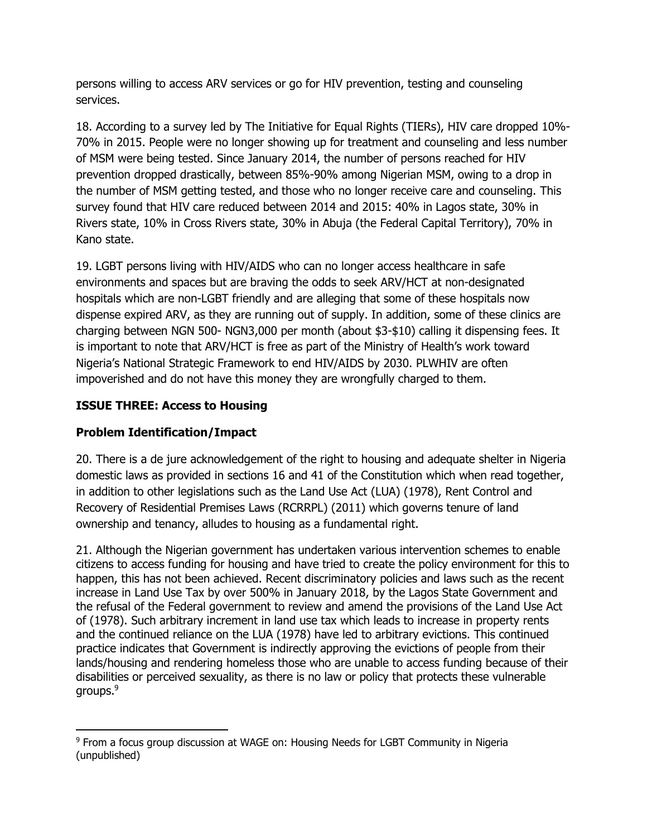persons willing to access ARV services or go for HIV prevention, testing and counseling services.

18. According to a survey led by The Initiative for Equal Rights (TIERs), HIV care dropped 10%- 70% in 2015. People were no longer showing up for treatment and counseling and less number of MSM were being tested. Since January 2014, the number of persons reached for HIV prevention dropped drastically, between 85%-90% among Nigerian MSM, owing to a drop in the number of MSM getting tested, and those who no longer receive care and counseling. This survey found that HIV care reduced between 2014 and 2015: 40% in Lagos state, 30% in Rivers state, 10% in Cross Rivers state, 30% in Abuja (the Federal Capital Territory), 70% in Kano state.

19. LGBT persons living with HIV/AIDS who can no longer access healthcare in safe environments and spaces but are braving the odds to seek ARV/HCT at non-designated hospitals which are non-LGBT friendly and are alleging that some of these hospitals now dispense expired ARV, as they are running out of supply. In addition, some of these clinics are charging between NGN 500- NGN3,000 per month (about \$3-\$10) calling it dispensing fees. It is important to note that ARV/HCT is free as part of the Ministry of Health's work toward Nigeria's National Strategic Framework to end HIV/AIDS by 2030. PLWHIV are often impoverished and do not have this money they are wrongfully charged to them.

## **ISSUE THREE: Access to Housing**

### **Problem Identification/Impact**

20. There is a de jure acknowledgement of the right to housing and adequate shelter in Nigeria domestic laws as provided in sections 16 and 41 of the Constitution which when read together, in addition to other legislations such as the Land Use Act (LUA) (1978), Rent Control and Recovery of Residential Premises Laws (RCRRPL) (2011) which governs tenure of land ownership and tenancy, alludes to housing as a fundamental right.

21. Although the Nigerian government has undertaken various intervention schemes to enable citizens to access funding for housing and have tried to create the policy environment for this to happen, this has not been achieved. Recent discriminatory policies and laws such as the recent increase in Land Use Tax by over 500% in January 2018, by the Lagos State Government and the refusal of the Federal government to review and amend the provisions of the Land Use Act of (1978). Such arbitrary increment in land use tax which leads to increase in property rents and the continued reliance on the LUA (1978) have led to arbitrary evictions. This continued practice indicates that Government is indirectly approving the evictions of people from their lands/housing and rendering homeless those who are unable to access funding because of their disabilities or perceived sexuality, as there is no law or policy that protects these vulnerable groups.<sup>9</sup>

l <sup>9</sup> From a focus group discussion at WAGE on: Housing Needs for LGBT Community in Nigeria (unpublished)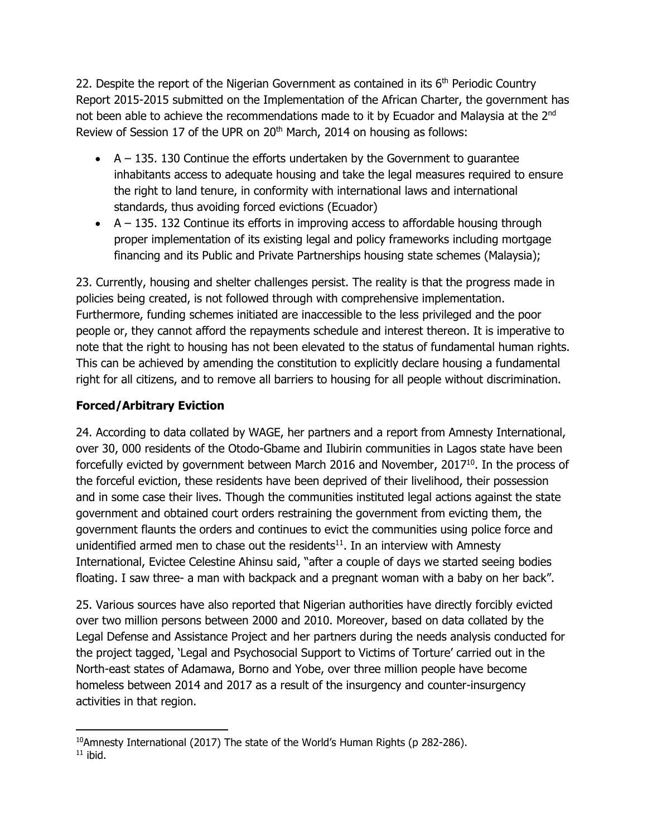22. Despite the report of the Nigerian Government as contained in its  $6<sup>th</sup>$  Periodic Country Report 2015-2015 submitted on the Implementation of the African Charter, the government has not been able to achieve the recommendations made to it by Ecuador and Malaysia at the 2<sup>nd</sup> Review of Session 17 of the UPR on 20<sup>th</sup> March, 2014 on housing as follows:

- $\bullet$  A 135. 130 Continue the efforts undertaken by the Government to quarantee inhabitants access to adequate housing and take the legal measures required to ensure the right to land tenure, in conformity with international laws and international standards, thus avoiding forced evictions (Ecuador)
- $\bullet$  A 135. 132 Continue its efforts in improving access to affordable housing through proper implementation of its existing legal and policy frameworks including mortgage financing and its Public and Private Partnerships housing state schemes (Malaysia);

23. Currently, housing and shelter challenges persist. The reality is that the progress made in policies being created, is not followed through with comprehensive implementation. Furthermore, funding schemes initiated are inaccessible to the less privileged and the poor people or, they cannot afford the repayments schedule and interest thereon. It is imperative to note that the right to housing has not been elevated to the status of fundamental human rights. This can be achieved by amending the constitution to explicitly declare housing a fundamental right for all citizens, and to remove all barriers to housing for all people without discrimination.

## **Forced/Arbitrary Eviction**

24. According to data collated by WAGE, her partners and a report from Amnesty International, over 30, 000 residents of the Otodo-Gbame and Ilubirin communities in Lagos state have been forcefully evicted by government between March 2016 and November, 2017<sup>10</sup>. In the process of the forceful eviction, these residents have been deprived of their livelihood, their possession and in some case their lives. Though the communities instituted legal actions against the state government and obtained court orders restraining the government from evicting them, the government flaunts the orders and continues to evict the communities using police force and unidentified armed men to chase out the residents $11$ . In an interview with Amnesty International, Evictee Celestine Ahinsu said, "after a couple of days we started seeing bodies floating. I saw three- a man with backpack and a pregnant woman with a baby on her back".

25. Various sources have also reported that Nigerian authorities have directly forcibly evicted over two million persons between 2000 and 2010. Moreover, based on data collated by the Legal Defense and Assistance Project and her partners during the needs analysis conducted for the project tagged, 'Legal and Psychosocial Support to Victims of Torture' carried out in the North-east states of Adamawa, Borno and Yobe, over three million people have become homeless between 2014 and 2017 as a result of the insurgency and counter-insurgency activities in that region.

l <sup>10</sup>Amnesty International (2017) The state of the World's Human Rights (p 282-286).  $11$  ibid.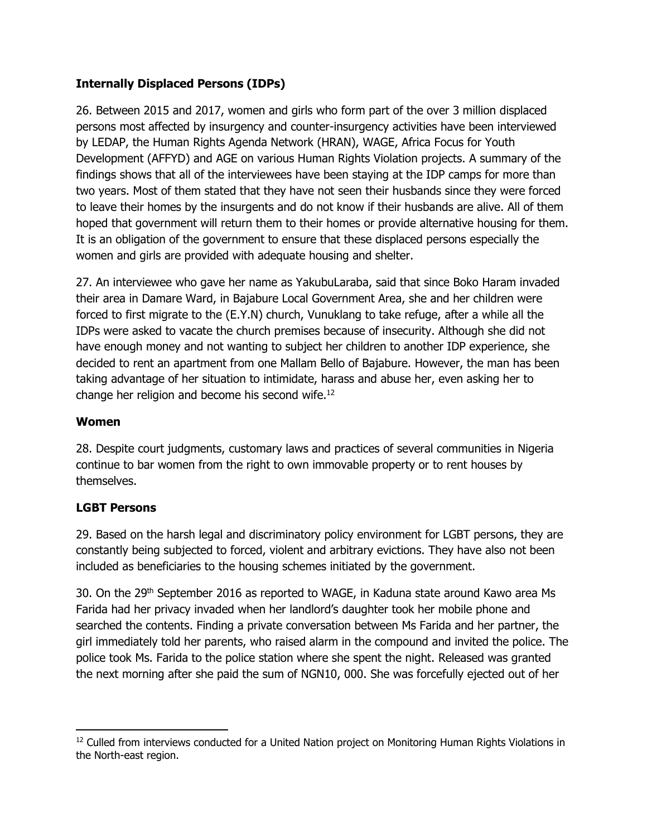### **Internally Displaced Persons (IDPs)**

26. Between 2015 and 2017, women and girls who form part of the over 3 million displaced persons most affected by insurgency and counter-insurgency activities have been interviewed by LEDAP, the Human Rights Agenda Network (HRAN), WAGE, Africa Focus for Youth Development (AFFYD) and AGE on various Human Rights Violation projects. A summary of the findings shows that all of the interviewees have been staying at the IDP camps for more than two years. Most of them stated that they have not seen their husbands since they were forced to leave their homes by the insurgents and do not know if their husbands are alive. All of them hoped that government will return them to their homes or provide alternative housing for them. It is an obligation of the government to ensure that these displaced persons especially the women and girls are provided with adequate housing and shelter.

27. An interviewee who gave her name as YakubuLaraba, said that since Boko Haram invaded their area in Damare Ward, in Bajabure Local Government Area, she and her children were forced to first migrate to the (E.Y.N) church, Vunuklang to take refuge, after a while all the IDPs were asked to vacate the church premises because of insecurity. Although she did not have enough money and not wanting to subject her children to another IDP experience, she decided to rent an apartment from one Mallam Bello of Bajabure. However, the man has been taking advantage of her situation to intimidate, harass and abuse her, even asking her to change her religion and become his second wife.<sup>12</sup>

### **Women**

28. Despite court judgments, customary laws and practices of several communities in Nigeria continue to bar women from the right to own immovable property or to rent houses by themselves.

### **LGBT Persons**

29. Based on the harsh legal and discriminatory policy environment for LGBT persons, they are constantly being subjected to forced, violent and arbitrary evictions. They have also not been included as beneficiaries to the housing schemes initiated by the government.

30. On the 29<sup>th</sup> September 2016 as reported to WAGE, in Kaduna state around Kawo area Ms Farida had her privacy invaded when her landlord's daughter took her mobile phone and searched the contents. Finding a private conversation between Ms Farida and her partner, the girl immediately told her parents, who raised alarm in the compound and invited the police. The police took Ms. Farida to the police station where she spent the night. Released was granted the next morning after she paid the sum of NGN10, 000. She was forcefully ejected out of her

l <sup>12</sup> Culled from interviews conducted for a United Nation project on Monitoring Human Rights Violations in the North-east region.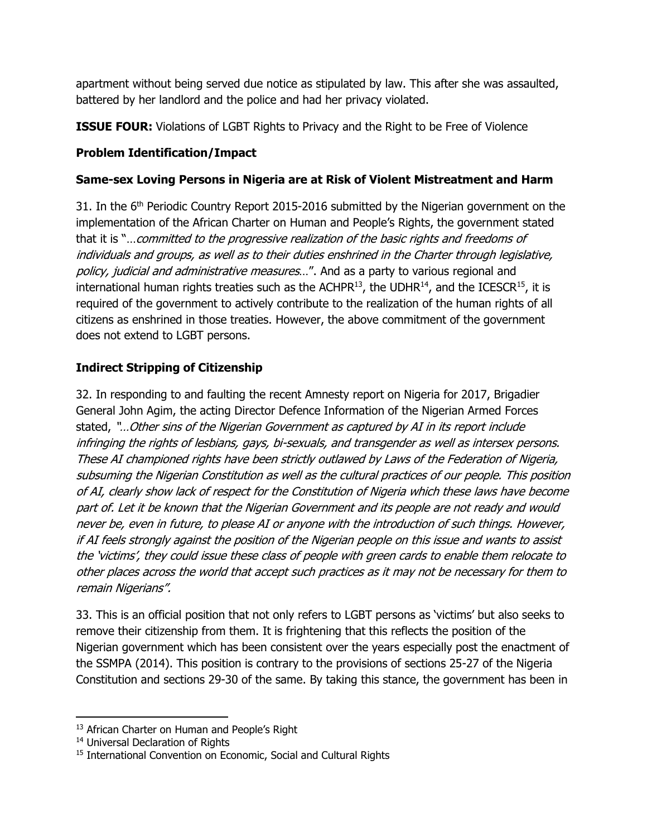apartment without being served due notice as stipulated by law. This after she was assaulted, battered by her landlord and the police and had her privacy violated.

**ISSUE FOUR:** Violations of LGBT Rights to Privacy and the Right to be Free of Violence

## **Problem Identification/Impact**

### **Same-sex Loving Persons in Nigeria are at Risk of Violent Mistreatment and Harm**

31. In the  $6<sup>th</sup>$  Periodic Country Report 2015-2016 submitted by the Nigerian government on the implementation of the African Charter on Human and People's Rights, the government stated that it is "... committed to the progressive realization of the basic rights and freedoms of individuals and groups, as well as to their duties enshrined in the Charter through legislative, policy, judicial and administrative measures...". And as a party to various regional and international human rights treaties such as the ACHPR $^{13}$ , the UDHR $^{14}$ , and the ICESCR $^{15}$ , it is required of the government to actively contribute to the realization of the human rights of all citizens as enshrined in those treaties. However, the above commitment of the government does not extend to LGBT persons.

# **Indirect Stripping of Citizenship**

32. In responding to and faulting the recent Amnesty report on Nigeria for 2017, Brigadier General John Agim, the acting Director Defence Information of the Nigerian Armed Forces stated, "…Other sins of the Nigerian Government as captured by AI in its report include infringing the rights of lesbians, gays, bi-sexuals, and transgender as well as intersex persons. These AI championed rights have been strictly outlawed by Laws of the Federation of Nigeria, subsuming the Nigerian Constitution as well as the cultural practices of our people. This position of AI, clearly show lack of respect for the Constitution of Nigeria which these laws have become part of. Let it be known that the Nigerian Government and its people are not ready and would never be, even in future, to please AI or anyone with the introduction of such things. However, if AI feels strongly against the position of the Nigerian people on this issue and wants to assist the 'victims', they could issue these class of people with green cards to enable them relocate to other places across the world that accept such practices as it may not be necessary for them to remain Nigerians".

33. This is an official position that not only refers to LGBT persons as 'victims' but also seeks to remove their citizenship from them. It is frightening that this reflects the position of the Nigerian government which has been consistent over the years especially post the enactment of the SSMPA (2014). This position is contrary to the provisions of sections 25-27 of the Nigeria Constitution and sections 29-30 of the same. By taking this stance, the government has been in

 $\overline{\phantom{a}}$ <sup>13</sup> African Charter on Human and People's Right

<sup>&</sup>lt;sup>14</sup> Universal Declaration of Rights

<sup>&</sup>lt;sup>15</sup> International Convention on Economic, Social and Cultural Rights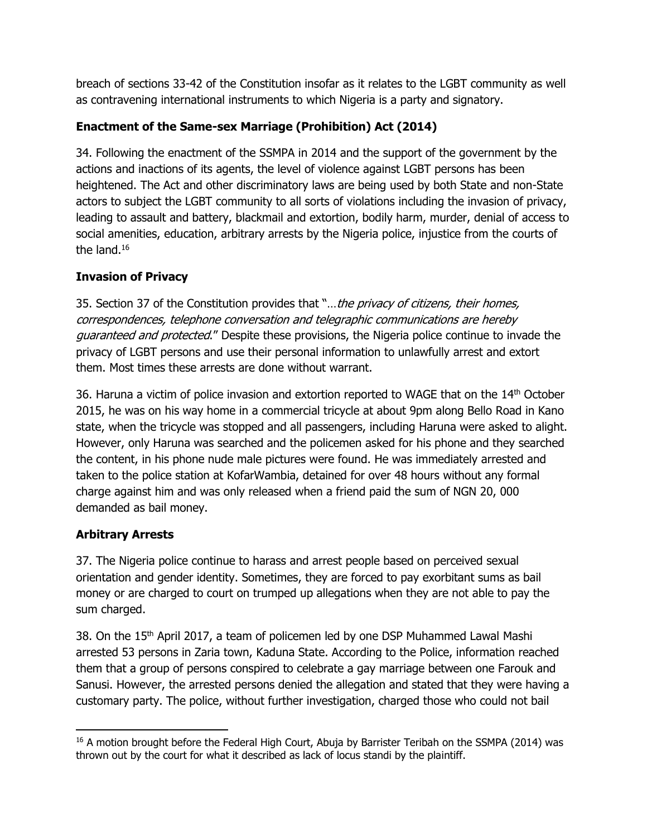breach of sections 33-42 of the Constitution insofar as it relates to the LGBT community as well as contravening international instruments to which Nigeria is a party and signatory.

# **Enactment of the Same-sex Marriage (Prohibition) Act (2014)**

34. Following the enactment of the SSMPA in 2014 and the support of the government by the actions and inactions of its agents, the level of violence against LGBT persons has been heightened. The Act and other discriminatory laws are being used by both State and non-State actors to subject the LGBT community to all sorts of violations including the invasion of privacy, leading to assault and battery, blackmail and extortion, bodily harm, murder, denial of access to social amenities, education, arbitrary arrests by the Nigeria police, injustice from the courts of the land.<sup>16</sup>

## **Invasion of Privacy**

35. Section 37 of the Constitution provides that "... the privacy of citizens, their homes, correspondences, telephone conversation and telegraphic communications are hereby *guaranteed and protected.*" Despite these provisions, the Nigeria police continue to invade the privacy of LGBT persons and use their personal information to unlawfully arrest and extort them. Most times these arrests are done without warrant.

36. Haruna a victim of police invasion and extortion reported to WAGE that on the  $14<sup>th</sup>$  October 2015, he was on his way home in a commercial tricycle at about 9pm along Bello Road in Kano state, when the tricycle was stopped and all passengers, including Haruna were asked to alight. However, only Haruna was searched and the policemen asked for his phone and they searched the content, in his phone nude male pictures were found. He was immediately arrested and taken to the police station at KofarWambia, detained for over 48 hours without any formal charge against him and was only released when a friend paid the sum of NGN 20, 000 demanded as bail money.

# **Arbitrary Arrests**

37. The Nigeria police continue to harass and arrest people based on perceived sexual orientation and gender identity. Sometimes, they are forced to pay exorbitant sums as bail money or are charged to court on trumped up allegations when they are not able to pay the sum charged.

38. On the  $15<sup>th</sup>$  April 2017, a team of policemen led by one DSP Muhammed Lawal Mashi arrested 53 persons in Zaria town, Kaduna State. According to the Police, information reached them that a group of persons conspired to celebrate a gay marriage between one Farouk and Sanusi. However, the arrested persons denied the allegation and stated that they were having a customary party. The police, without further investigation, charged those who could not bail

l <sup>16</sup> A motion brought before the Federal High Court, Abuja by Barrister Teribah on the SSMPA (2014) was thrown out by the court for what it described as lack of locus standi by the plaintiff.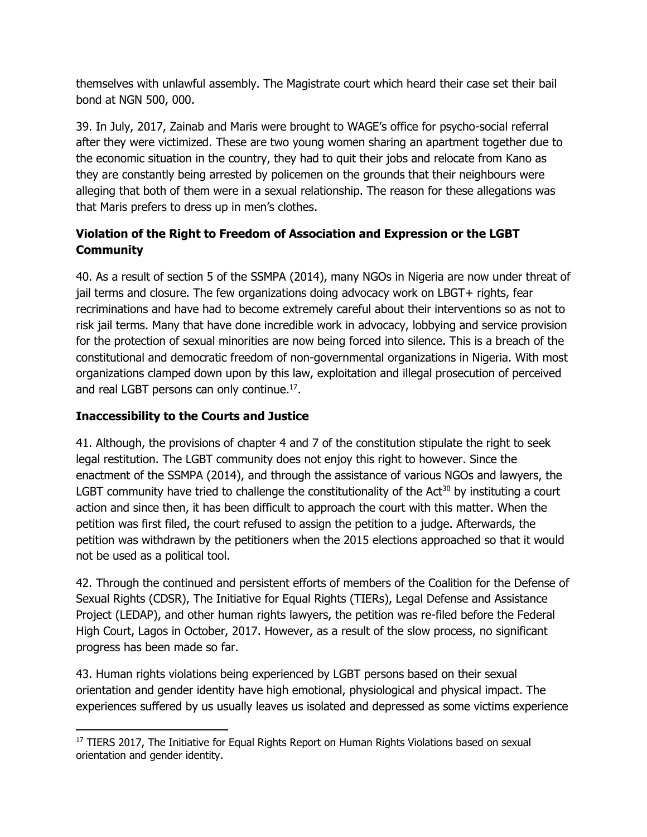themselves with unlawful assembly. The Magistrate court which heard their case set their bail bond at NGN 500, 000.

39. In July, 2017, Zainab and Maris were brought to WAGE's office for psycho-social referral after they were victimized. These are two young women sharing an apartment together due to the economic situation in the country, they had to quit their jobs and relocate from Kano as they are constantly being arrested by policemen on the grounds that their neighbours were alleging that both of them were in a sexual relationship. The reason for these allegations was that Maris prefers to dress up in men's clothes.

# **Violation of the Right to Freedom of Association and Expression or the LGBT Community**

40. As a result of section 5 of the SSMPA (2014), many NGOs in Nigeria are now under threat of jail terms and closure. The few organizations doing advocacy work on LBGT+ rights, fear recriminations and have had to become extremely careful about their interventions so as not to risk jail terms. Many that have done incredible work in advocacy, lobbying and service provision for the protection of sexual minorities are now being forced into silence. This is a breach of the constitutional and democratic freedom of non-governmental organizations in Nigeria. With most organizations clamped down upon by this law, exploitation and illegal prosecution of perceived and real LGBT persons can only continue.<sup>17</sup>.

## **Inaccessibility to the Courts and Justice**

41. Although, the provisions of chapter 4 and 7 of the constitution stipulate the right to seek legal restitution. The LGBT community does not enjoy this right to however. Since the enactment of the SSMPA (2014), and through the assistance of various NGOs and lawyers, the LGBT community have tried to challenge the constitutionality of the Act<sup>30</sup> by instituting a court action and since then, it has been difficult to approach the court with this matter. When the petition was first filed, the court refused to assign the petition to a judge. Afterwards, the petition was withdrawn by the petitioners when the 2015 elections approached so that it would not be used as a political tool.

42. Through the continued and persistent efforts of members of the Coalition for the Defense of Sexual Rights (CDSR), The Initiative for Equal Rights (TIERs), Legal Defense and Assistance Project (LEDAP), and other human rights lawyers, the petition was re-filed before the Federal High Court, Lagos in October, 2017. However, as a result of the slow process, no significant progress has been made so far.

43. Human rights violations being experienced by LGBT persons based on their sexual orientation and gender identity have high emotional, physiological and physical impact. The experiences suffered by us usually leaves us isolated and depressed as some victims experience

l <sup>17</sup> TIERS 2017, The Initiative for Equal Rights Report on Human Rights Violations based on sexual orientation and gender identity.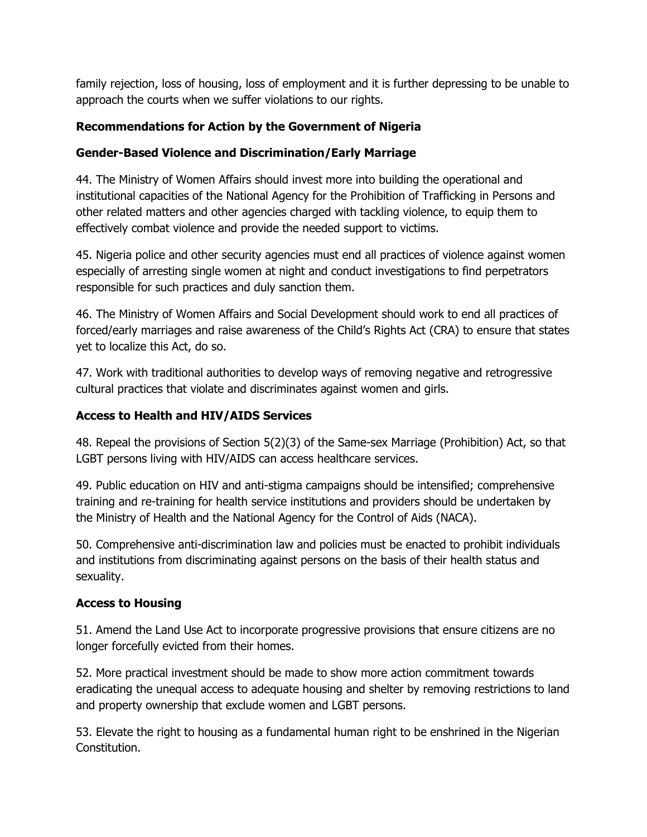family rejection, loss of housing, loss of employment and it is further depressing to be unable to approach the courts when we suffer violations to our rights.

### **Recommendations for Action by the Government of Nigeria**

### **Gender-Based Violence and Discrimination/Early Marriage**

44. The Ministry of Women Affairs should invest more into building the operational and institutional capacities of the National Agency for the Prohibition of Trafficking in Persons and other related matters and other agencies charged with tackling violence, to equip them to effectively combat violence and provide the needed support to victims.

45. Nigeria police and other security agencies must end all practices of violence against women especially of arresting single women at night and conduct investigations to find perpetrators responsible for such practices and duly sanction them.

46. The Ministry of Women Affairs and Social Development should work to end all practices of forced/early marriages and raise awareness of the Child's Rights Act (CRA) to ensure that states yet to localize this Act, do so.

47. Work with traditional authorities to develop ways of removing negative and retrogressive cultural practices that violate and discriminates against women and girls.

### **Access to Health and HIV/AIDS Services**

48. Repeal the provisions of Section 5(2)(3) of the Same-sex Marriage (Prohibition) Act, so that LGBT persons living with HIV/AIDS can access healthcare services.

49. Public education on HIV and anti-stigma campaigns should be intensified; comprehensive training and re-training for health service institutions and providers should be undertaken by the Ministry of Health and the National Agency for the Control of Aids (NACA).

50. Comprehensive anti-discrimination law and policies must be enacted to prohibit individuals and institutions from discriminating against persons on the basis of their health status and sexuality.

#### **Access to Housing**

51. Amend the Land Use Act to incorporate progressive provisions that ensure citizens are no longer forcefully evicted from their homes.

52. More practical investment should be made to show more action commitment towards eradicating the unequal access to adequate housing and shelter by removing restrictions to land and property ownership that exclude women and LGBT persons.

53. Elevate the right to housing as a fundamental human right to be enshrined in the Nigerian Constitution.